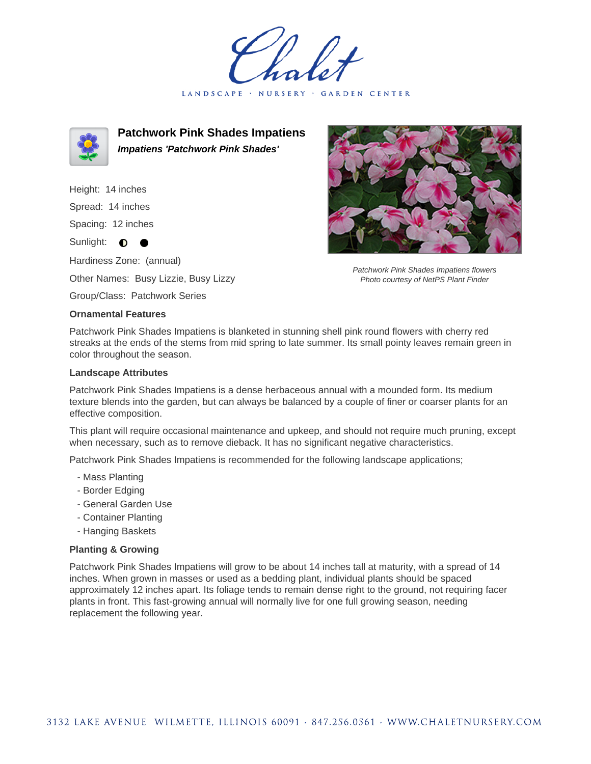LANDSCAPE · NURSERY GARDEN CENTER



**Patchwork Pink Shades Impatiens Impatiens 'Patchwork Pink Shades'**

Height: 14 inches Spread: 14 inches

Spacing: 12 inches

Sunlight: **O** 

Hardiness Zone: (annual)

Other Names: Busy Lizzie, Busy Lizzy

Group/Class: Patchwork Series

## **Ornamental Features**



Patchwork Pink Shades Impatiens flowers Photo courtesy of NetPS Plant Finder

Patchwork Pink Shades Impatiens is blanketed in stunning shell pink round flowers with cherry red streaks at the ends of the stems from mid spring to late summer. Its small pointy leaves remain green in color throughout the season.

## **Landscape Attributes**

Patchwork Pink Shades Impatiens is a dense herbaceous annual with a mounded form. Its medium texture blends into the garden, but can always be balanced by a couple of finer or coarser plants for an effective composition.

This plant will require occasional maintenance and upkeep, and should not require much pruning, except when necessary, such as to remove dieback. It has no significant negative characteristics.

Patchwork Pink Shades Impatiens is recommended for the following landscape applications;

- Mass Planting
- Border Edging
- General Garden Use
- Container Planting
- Hanging Baskets

## **Planting & Growing**

Patchwork Pink Shades Impatiens will grow to be about 14 inches tall at maturity, with a spread of 14 inches. When grown in masses or used as a bedding plant, individual plants should be spaced approximately 12 inches apart. Its foliage tends to remain dense right to the ground, not requiring facer plants in front. This fast-growing annual will normally live for one full growing season, needing replacement the following year.